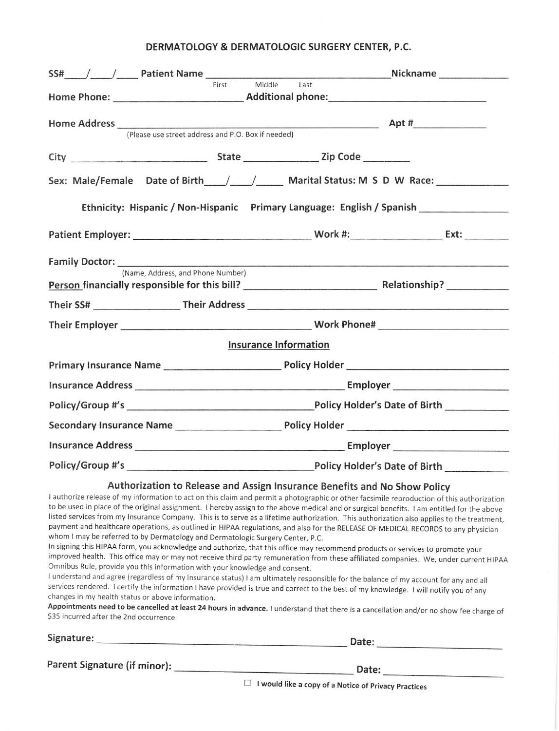## DERMATOLOGY & DERMATOLOGIC SURGERY CENTER, P.C.

| Last                                                                                                                                                                                                                                                                                                                                                                                                                                                                                                                                                                                                                                                                                                                                                                                                                                                                                                                                                                                                                                                                                                                                                                                                                                                                                                                                                                                   |
|----------------------------------------------------------------------------------------------------------------------------------------------------------------------------------------------------------------------------------------------------------------------------------------------------------------------------------------------------------------------------------------------------------------------------------------------------------------------------------------------------------------------------------------------------------------------------------------------------------------------------------------------------------------------------------------------------------------------------------------------------------------------------------------------------------------------------------------------------------------------------------------------------------------------------------------------------------------------------------------------------------------------------------------------------------------------------------------------------------------------------------------------------------------------------------------------------------------------------------------------------------------------------------------------------------------------------------------------------------------------------------------|
|                                                                                                                                                                                                                                                                                                                                                                                                                                                                                                                                                                                                                                                                                                                                                                                                                                                                                                                                                                                                                                                                                                                                                                                                                                                                                                                                                                                        |
|                                                                                                                                                                                                                                                                                                                                                                                                                                                                                                                                                                                                                                                                                                                                                                                                                                                                                                                                                                                                                                                                                                                                                                                                                                                                                                                                                                                        |
|                                                                                                                                                                                                                                                                                                                                                                                                                                                                                                                                                                                                                                                                                                                                                                                                                                                                                                                                                                                                                                                                                                                                                                                                                                                                                                                                                                                        |
|                                                                                                                                                                                                                                                                                                                                                                                                                                                                                                                                                                                                                                                                                                                                                                                                                                                                                                                                                                                                                                                                                                                                                                                                                                                                                                                                                                                        |
| Sex: Male/Female Date of Birth / / / Marital Status: M S D W Race:                                                                                                                                                                                                                                                                                                                                                                                                                                                                                                                                                                                                                                                                                                                                                                                                                                                                                                                                                                                                                                                                                                                                                                                                                                                                                                                     |
| Ethnicity: Hispanic / Non-Hispanic Primary Language: English / Spanish __________                                                                                                                                                                                                                                                                                                                                                                                                                                                                                                                                                                                                                                                                                                                                                                                                                                                                                                                                                                                                                                                                                                                                                                                                                                                                                                      |
|                                                                                                                                                                                                                                                                                                                                                                                                                                                                                                                                                                                                                                                                                                                                                                                                                                                                                                                                                                                                                                                                                                                                                                                                                                                                                                                                                                                        |
| Family Doctor: <u>Decree and Communications</u> and Communications and Communications and Communications and Communications and Communications and Communications and Communications and Communications and Communications and Comm                                                                                                                                                                                                                                                                                                                                                                                                                                                                                                                                                                                                                                                                                                                                                                                                                                                                                                                                                                                                                                                                                                                                                    |
|                                                                                                                                                                                                                                                                                                                                                                                                                                                                                                                                                                                                                                                                                                                                                                                                                                                                                                                                                                                                                                                                                                                                                                                                                                                                                                                                                                                        |
|                                                                                                                                                                                                                                                                                                                                                                                                                                                                                                                                                                                                                                                                                                                                                                                                                                                                                                                                                                                                                                                                                                                                                                                                                                                                                                                                                                                        |
|                                                                                                                                                                                                                                                                                                                                                                                                                                                                                                                                                                                                                                                                                                                                                                                                                                                                                                                                                                                                                                                                                                                                                                                                                                                                                                                                                                                        |
| <b>Insurance Information</b>                                                                                                                                                                                                                                                                                                                                                                                                                                                                                                                                                                                                                                                                                                                                                                                                                                                                                                                                                                                                                                                                                                                                                                                                                                                                                                                                                           |
|                                                                                                                                                                                                                                                                                                                                                                                                                                                                                                                                                                                                                                                                                                                                                                                                                                                                                                                                                                                                                                                                                                                                                                                                                                                                                                                                                                                        |
|                                                                                                                                                                                                                                                                                                                                                                                                                                                                                                                                                                                                                                                                                                                                                                                                                                                                                                                                                                                                                                                                                                                                                                                                                                                                                                                                                                                        |
|                                                                                                                                                                                                                                                                                                                                                                                                                                                                                                                                                                                                                                                                                                                                                                                                                                                                                                                                                                                                                                                                                                                                                                                                                                                                                                                                                                                        |
|                                                                                                                                                                                                                                                                                                                                                                                                                                                                                                                                                                                                                                                                                                                                                                                                                                                                                                                                                                                                                                                                                                                                                                                                                                                                                                                                                                                        |
|                                                                                                                                                                                                                                                                                                                                                                                                                                                                                                                                                                                                                                                                                                                                                                                                                                                                                                                                                                                                                                                                                                                                                                                                                                                                                                                                                                                        |
|                                                                                                                                                                                                                                                                                                                                                                                                                                                                                                                                                                                                                                                                                                                                                                                                                                                                                                                                                                                                                                                                                                                                                                                                                                                                                                                                                                                        |
| Authorization to Release and Assign Insurance Benefits and No Show Policy<br>I authorize release of my information to act on this claim and permit a photographic or other facsimile reproduction of this authorization<br>to be used in place of the original assignment. I hereby assign to the above medical and or surgical benefits. I am entitled for the above<br>listed services from my Insurance Company. This is to serve as a lifetime authorization. This authorization also applies to the treatment,<br>payment and healthcare operations, as outlined in HIPAA regulations, and also for the RELEASE OF MEDICAL RECORDS to any physician<br>whom I may be referred to by Dermatology and Dermatologic Surgery Center, P.C.<br>In signing this HIPAA form, you acknowledge and authorize, that this office may recommend products or services to promote your<br>improved health. This office may or may not receive third party remuneration from these affiliated companies. We, under current HIPAA<br>Omnibus Rule, provide you this information with your knowledge and consent.<br>I understand and agree (regardless of my Insurance status) I am ultimately responsible for the balance of my account for any and all<br>services rendered. I certify the information I have provided is true and correct to the best of my knowledge. I will notify you of any |
|                                                                                                                                                                                                                                                                                                                                                                                                                                                                                                                                                                                                                                                                                                                                                                                                                                                                                                                                                                                                                                                                                                                                                                                                                                                                                                                                                                                        |

Date Parent Signature (if minor): Signature: Date:

 $\Box$  I would like a copy of a Notice of Privacy Practices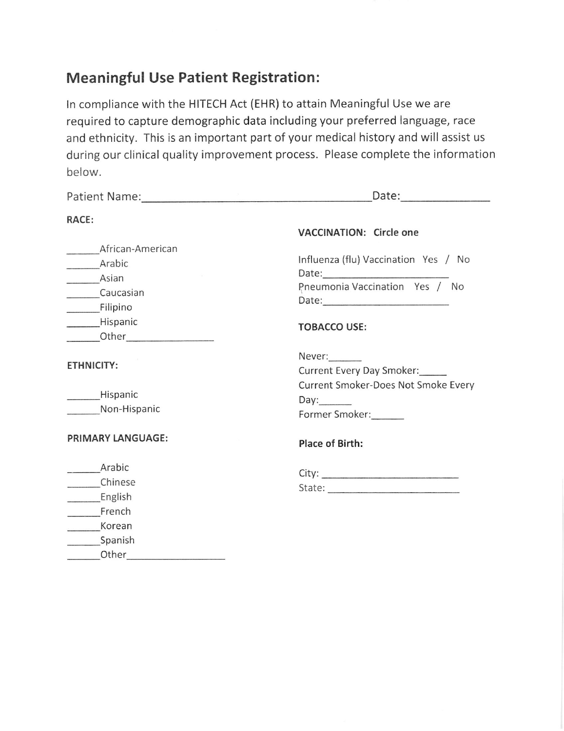## **Meaningful Use Patient Registration:**

In compliance with the HITECH Act (EHR) to attain Meaningful Use we are required to capture demographic data including your preferred language, race and ethnicity. This is an important part of your medical history and will assist us during our clinical quality improvement process. Please complete the information below.

| Patient Name: Manner State And State And State And State And State And State And State And State And State And State And State And State And State And State And State And State And State And State And State And State And S |                                                                                                                    |
|--------------------------------------------------------------------------------------------------------------------------------------------------------------------------------------------------------------------------------|--------------------------------------------------------------------------------------------------------------------|
| RACE:                                                                                                                                                                                                                          |                                                                                                                    |
|                                                                                                                                                                                                                                | <b>VACCINATION: Circle one</b>                                                                                     |
| African-American<br>Arabic<br>Caucasian                                                                                                                                                                                        | Influenza (flu) Vaccination Yes / No<br>Pneumonia Vaccination Yes / No                                             |
| Hispanic<br>Other                                                                                                                                                                                                              | <b>TOBACCO USE:</b>                                                                                                |
| <b>ETHNICITY:</b><br>Hispanic<br>Non-Hispanic                                                                                                                                                                                  | Never:<br>Current Every Day Smoker:<br>Current Smoker-Does Not Smoke Every<br>Day: $\frac{1}{2}$<br>Former Smoker: |
| PRIMARY LANGUAGE:                                                                                                                                                                                                              | <b>Place of Birth:</b>                                                                                             |
| Arabic<br>______ Chinese<br>English<br>French<br>________Korean<br>Spanish<br>Other                                                                                                                                            |                                                                                                                    |